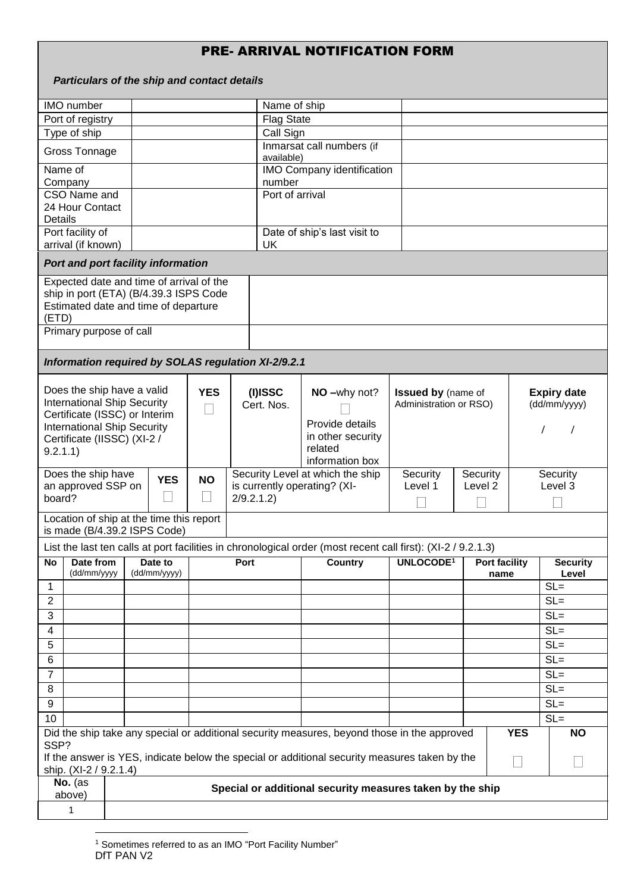## PRE- ARRIVAL NOTIFICATION FORM

|                                                                                                                                     |                                                                                                                                       |  | Particulars of the ship and contact details                              |                                                  |                                                     |                                                                                                                                                                                              |                                                     |                     |                                    |                     |  |  |
|-------------------------------------------------------------------------------------------------------------------------------------|---------------------------------------------------------------------------------------------------------------------------------------|--|--------------------------------------------------------------------------|--------------------------------------------------|-----------------------------------------------------|----------------------------------------------------------------------------------------------------------------------------------------------------------------------------------------------|-----------------------------------------------------|---------------------|------------------------------------|---------------------|--|--|
|                                                                                                                                     | IMO number                                                                                                                            |  |                                                                          |                                                  |                                                     | Name of ship                                                                                                                                                                                 |                                                     |                     |                                    |                     |  |  |
|                                                                                                                                     | Port of registry                                                                                                                      |  |                                                                          |                                                  | <b>Flag State</b>                                   |                                                                                                                                                                                              |                                                     |                     |                                    |                     |  |  |
|                                                                                                                                     | Type of ship                                                                                                                          |  |                                                                          |                                                  | Call Sign                                           |                                                                                                                                                                                              |                                                     |                     |                                    |                     |  |  |
|                                                                                                                                     | <b>Gross Tonnage</b>                                                                                                                  |  |                                                                          |                                                  | available)                                          | Inmarsat call numbers (if                                                                                                                                                                    |                                                     |                     |                                    |                     |  |  |
|                                                                                                                                     | Name of                                                                                                                               |  |                                                                          |                                                  |                                                     | <b>IMO Company identification</b>                                                                                                                                                            |                                                     |                     |                                    |                     |  |  |
|                                                                                                                                     | Company                                                                                                                               |  |                                                                          |                                                  |                                                     | number                                                                                                                                                                                       |                                                     |                     |                                    |                     |  |  |
| Details                                                                                                                             | CSO Name and<br>24 Hour Contact                                                                                                       |  |                                                                          |                                                  |                                                     | Port of arrival                                                                                                                                                                              |                                                     |                     |                                    |                     |  |  |
| Port facility of<br>arrival (if known)                                                                                              |                                                                                                                                       |  |                                                                          |                                                  | <b>UK</b>                                           | Date of ship's last visit to                                                                                                                                                                 |                                                     |                     |                                    |                     |  |  |
|                                                                                                                                     |                                                                                                                                       |  | Port and port facility information                                       |                                                  |                                                     |                                                                                                                                                                                              |                                                     |                     |                                    |                     |  |  |
| Expected date and time of arrival of the<br>ship in port (ETA) (B/4.39.3 ISPS Code<br>Estimated date and time of departure<br>(ETD) |                                                                                                                                       |  |                                                                          |                                                  |                                                     |                                                                                                                                                                                              |                                                     |                     |                                    |                     |  |  |
| Primary purpose of call                                                                                                             |                                                                                                                                       |  |                                                                          |                                                  |                                                     |                                                                                                                                                                                              |                                                     |                     |                                    |                     |  |  |
|                                                                                                                                     |                                                                                                                                       |  |                                                                          |                                                  | Information required by SOLAS regulation XI-2/9.2.1 |                                                                                                                                                                                              |                                                     |                     |                                    |                     |  |  |
|                                                                                                                                     | Does the ship have a valid<br><b>International Ship Security</b><br><b>International Ship Security</b><br>Certificate (IISSC) (XI-2 / |  | Certificate (ISSC) or Interim                                            | <b>YES</b><br>$(I)$ ISSC<br>Cert. Nos.<br>$\Box$ |                                                     | NO-why not?<br>Provide details<br>in other security                                                                                                                                          | <b>Issued by (name of</b><br>Administration or RSO) |                     | <b>Expiry date</b><br>(dd/mm/yyyy) |                     |  |  |
| 9.2.1.1)                                                                                                                            |                                                                                                                                       |  |                                                                          |                                                  |                                                     | related<br>information box                                                                                                                                                                   |                                                     |                     |                                    |                     |  |  |
| Does the ship have<br>an approved SSP on<br>board?                                                                                  |                                                                                                                                       |  | <b>YES</b><br>$\Box$                                                     | <b>NO</b>                                        | is currently operating? (XI-<br>2/9.2.1.2           | Security Level at which the ship                                                                                                                                                             | Security<br>Level 1                                 | Security<br>Level 2 |                                    | Security<br>Level 3 |  |  |
|                                                                                                                                     |                                                                                                                                       |  | Location of ship at the time this report<br>is made (B/4.39.2 ISPS Code) |                                                  |                                                     |                                                                                                                                                                                              |                                                     |                     |                                    |                     |  |  |
|                                                                                                                                     |                                                                                                                                       |  |                                                                          |                                                  |                                                     | List the last ten calls at port facilities in chronological order (most recent call first): (XI-2 / 9.2.1.3)                                                                                 |                                                     |                     |                                    |                     |  |  |
| No                                                                                                                                  | Date from<br>(dd/mm/yyyy                                                                                                              |  | Date to<br>(dd/mm/yyyy)                                                  | Port                                             |                                                     | Country                                                                                                                                                                                      | UNLOCODE <sup>1</sup>                               |                     | <b>Port facility</b><br>name       |                     |  |  |
| $\mathbf 1$                                                                                                                         |                                                                                                                                       |  |                                                                          |                                                  |                                                     |                                                                                                                                                                                              |                                                     |                     |                                    | Level<br>$SL =$     |  |  |
|                                                                                                                                     |                                                                                                                                       |  |                                                                          |                                                  |                                                     |                                                                                                                                                                                              |                                                     |                     |                                    | $SL =$              |  |  |
| $\overline{c}$                                                                                                                      |                                                                                                                                       |  |                                                                          |                                                  |                                                     |                                                                                                                                                                                              |                                                     |                     |                                    | $SL =$              |  |  |
| 3                                                                                                                                   |                                                                                                                                       |  |                                                                          |                                                  |                                                     |                                                                                                                                                                                              |                                                     |                     |                                    | $SL =$              |  |  |
| 4                                                                                                                                   |                                                                                                                                       |  |                                                                          |                                                  |                                                     |                                                                                                                                                                                              |                                                     |                     |                                    | $SL =$              |  |  |
| 5                                                                                                                                   |                                                                                                                                       |  |                                                                          |                                                  |                                                     |                                                                                                                                                                                              |                                                     |                     |                                    | $SL =$              |  |  |
| 6                                                                                                                                   |                                                                                                                                       |  |                                                                          |                                                  |                                                     |                                                                                                                                                                                              |                                                     |                     |                                    |                     |  |  |
| $\overline{7}$                                                                                                                      |                                                                                                                                       |  |                                                                          |                                                  |                                                     |                                                                                                                                                                                              |                                                     |                     |                                    | $SL =$              |  |  |
| 8                                                                                                                                   |                                                                                                                                       |  |                                                                          |                                                  |                                                     |                                                                                                                                                                                              |                                                     |                     |                                    | $SL =$              |  |  |
| 9                                                                                                                                   |                                                                                                                                       |  |                                                                          |                                                  |                                                     |                                                                                                                                                                                              |                                                     |                     |                                    | $SL =$              |  |  |
| 10                                                                                                                                  |                                                                                                                                       |  |                                                                          |                                                  |                                                     |                                                                                                                                                                                              |                                                     |                     | <b>YES</b>                         | $SL =$              |  |  |
| SSP?                                                                                                                                |                                                                                                                                       |  |                                                                          |                                                  |                                                     | Did the ship take any special or additional security measures, beyond those in the approved<br>If the answer is YES, indicate below the special or additional security measures taken by the |                                                     |                     | $\Box$                             | <b>NO</b><br>$\Box$ |  |  |
| ship. (XI-2 / 9.2.1.4)<br>No. $(as$<br>Special or additional security measures taken by the ship<br>above)                          |                                                                                                                                       |  |                                                                          |                                                  |                                                     |                                                                                                                                                                                              |                                                     |                     |                                    |                     |  |  |
|                                                                                                                                     | $\mathbf{1}$                                                                                                                          |  |                                                                          |                                                  |                                                     |                                                                                                                                                                                              |                                                     |                     |                                    |                     |  |  |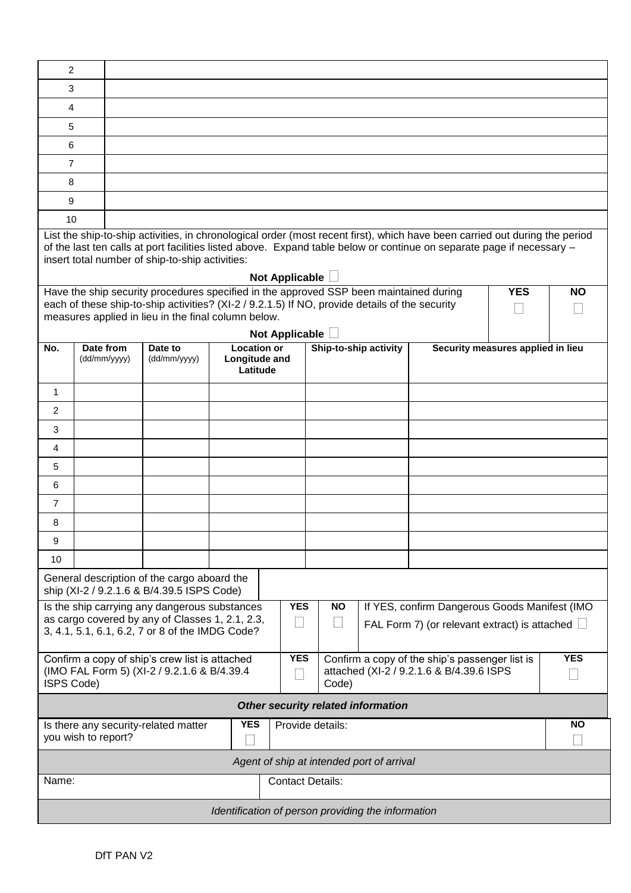| 2<br>3                                                                                                                                                                                                                                                                                                                    |              |                                                                                                                                                       |                           |                    |  |                       |  |                                   |  |            |  |  |
|---------------------------------------------------------------------------------------------------------------------------------------------------------------------------------------------------------------------------------------------------------------------------------------------------------------------------|--------------|-------------------------------------------------------------------------------------------------------------------------------------------------------|---------------------------|--------------------|--|-----------------------|--|-----------------------------------|--|------------|--|--|
| 4                                                                                                                                                                                                                                                                                                                         |              |                                                                                                                                                       |                           |                    |  |                       |  |                                   |  |            |  |  |
| 5                                                                                                                                                                                                                                                                                                                         |              |                                                                                                                                                       |                           |                    |  |                       |  |                                   |  |            |  |  |
| 6                                                                                                                                                                                                                                                                                                                         |              |                                                                                                                                                       |                           |                    |  |                       |  |                                   |  |            |  |  |
| $\overline{7}$                                                                                                                                                                                                                                                                                                            |              |                                                                                                                                                       |                           |                    |  |                       |  |                                   |  |            |  |  |
| 8                                                                                                                                                                                                                                                                                                                         |              |                                                                                                                                                       |                           |                    |  |                       |  |                                   |  |            |  |  |
| 9                                                                                                                                                                                                                                                                                                                         |              |                                                                                                                                                       |                           |                    |  |                       |  |                                   |  |            |  |  |
| 10                                                                                                                                                                                                                                                                                                                        |              |                                                                                                                                                       |                           |                    |  |                       |  |                                   |  |            |  |  |
| List the ship-to-ship activities, in chronological order (most recent first), which have been carried out during the period<br>of the last ten calls at port facilities listed above. Expand table below or continue on separate page if necessary -<br>insert total number of ship-to-ship activities:<br>Not Applicable |              |                                                                                                                                                       |                           |                    |  |                       |  |                                   |  |            |  |  |
| Have the ship security procedures specified in the approved SSP been maintained during<br><b>YES</b><br><b>NO</b>                                                                                                                                                                                                         |              |                                                                                                                                                       |                           |                    |  |                       |  |                                   |  |            |  |  |
|                                                                                                                                                                                                                                                                                                                           |              | each of these ship-to-ship activities? (XI-2 / 9.2.1.5) If NO, provide details of the security<br>measures applied in lieu in the final column below. |                           |                    |  |                       |  |                                   |  |            |  |  |
|                                                                                                                                                                                                                                                                                                                           |              |                                                                                                                                                       |                           |                    |  | Not Applicable        |  |                                   |  |            |  |  |
| No.                                                                                                                                                                                                                                                                                                                       | Date from    | Date to                                                                                                                                               |                           | <b>Location or</b> |  | Ship-to-ship activity |  | Security measures applied in lieu |  |            |  |  |
|                                                                                                                                                                                                                                                                                                                           | (dd/mm/yyyy) | (dd/mm/yyyy)                                                                                                                                          | Longitude and<br>Latitude |                    |  |                       |  |                                   |  |            |  |  |
| 1                                                                                                                                                                                                                                                                                                                         |              |                                                                                                                                                       |                           |                    |  |                       |  |                                   |  |            |  |  |
| 2                                                                                                                                                                                                                                                                                                                         |              |                                                                                                                                                       |                           |                    |  |                       |  |                                   |  |            |  |  |
| 3                                                                                                                                                                                                                                                                                                                         |              |                                                                                                                                                       |                           |                    |  |                       |  |                                   |  |            |  |  |
| 4                                                                                                                                                                                                                                                                                                                         |              |                                                                                                                                                       |                           |                    |  |                       |  |                                   |  |            |  |  |
| 5.                                                                                                                                                                                                                                                                                                                        |              |                                                                                                                                                       |                           |                    |  |                       |  |                                   |  |            |  |  |
| 6                                                                                                                                                                                                                                                                                                                         |              |                                                                                                                                                       |                           |                    |  |                       |  |                                   |  |            |  |  |
| 7                                                                                                                                                                                                                                                                                                                         |              |                                                                                                                                                       |                           |                    |  |                       |  |                                   |  |            |  |  |
| 8                                                                                                                                                                                                                                                                                                                         |              |                                                                                                                                                       |                           |                    |  |                       |  |                                   |  |            |  |  |
| 9                                                                                                                                                                                                                                                                                                                         |              |                                                                                                                                                       |                           |                    |  |                       |  |                                   |  |            |  |  |
| 10                                                                                                                                                                                                                                                                                                                        |              |                                                                                                                                                       |                           |                    |  |                       |  |                                   |  |            |  |  |
| General description of the cargo aboard the<br>ship (XI-2 / 9.2.1.6 & B/4.39.5 ISPS Code)                                                                                                                                                                                                                                 |              |                                                                                                                                                       |                           |                    |  |                       |  |                                   |  |            |  |  |
| <b>YES</b><br><b>NO</b><br>If YES, confirm Dangerous Goods Manifest (IMO<br>Is the ship carrying any dangerous substances<br>as cargo covered by any of Classes 1, 2.1, 2.3,<br>$\vert \ \ \vert$<br>$\Box$<br>FAL Form 7) (or relevant extract) is attached $\Box$<br>3, 4.1, 5.1, 6.1, 6.2, 7 or 8 of the IMDG Code?    |              |                                                                                                                                                       |                           |                    |  |                       |  |                                   |  |            |  |  |
| <b>YES</b><br>Confirm a copy of the ship's passenger list is<br>Confirm a copy of ship's crew list is attached<br>(IMO FAL Form 5) (XI-2 / 9.2.1.6 & B/4.39.4<br>attached (XI-2 / 9.2.1.6 & B/4.39.6 ISPS<br><b>ISPS Code)</b><br>Code)                                                                                   |              |                                                                                                                                                       |                           |                    |  |                       |  |                                   |  | <b>YES</b> |  |  |
| <b>Other security related information</b>                                                                                                                                                                                                                                                                                 |              |                                                                                                                                                       |                           |                    |  |                       |  |                                   |  |            |  |  |
| <b>YES</b><br><b>NO</b><br>Is there any security-related matter<br>Provide details:                                                                                                                                                                                                                                       |              |                                                                                                                                                       |                           |                    |  |                       |  |                                   |  |            |  |  |
| you wish to report?                                                                                                                                                                                                                                                                                                       |              |                                                                                                                                                       |                           |                    |  |                       |  |                                   |  |            |  |  |
| Agent of ship at intended port of arrival                                                                                                                                                                                                                                                                                 |              |                                                                                                                                                       |                           |                    |  |                       |  |                                   |  |            |  |  |
| Name:<br><b>Contact Details:</b>                                                                                                                                                                                                                                                                                          |              |                                                                                                                                                       |                           |                    |  |                       |  |                                   |  |            |  |  |
| Identification of person providing the information                                                                                                                                                                                                                                                                        |              |                                                                                                                                                       |                           |                    |  |                       |  |                                   |  |            |  |  |